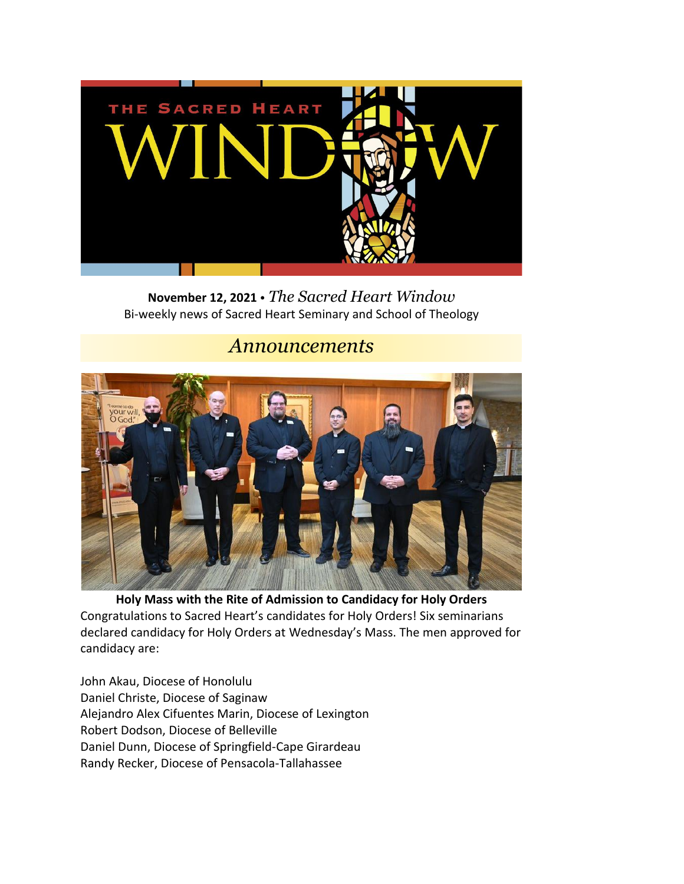

**November 12, 2021** • *The Sacred Heart Window* Bi-weekly news of Sacred Heart Seminary and School of Theology

#### *Announcements*



**Holy Mass with the Rite of Admission to Candidacy for Holy Orders** Congratulations to Sacred Heart's candidates for Holy Orders! Six seminarians declared candidacy for Holy Orders at Wednesday's Mass. The men approved for candidacy are:

John Akau, Diocese of Honolulu Daniel Christe, Diocese of Saginaw Alejandro Alex Cifuentes Marin, Diocese of Lexington Robert Dodson, Diocese of Belleville Daniel Dunn, Diocese of Springfield-Cape Girardeau Randy Recker, Diocese of Pensacola-Tallahassee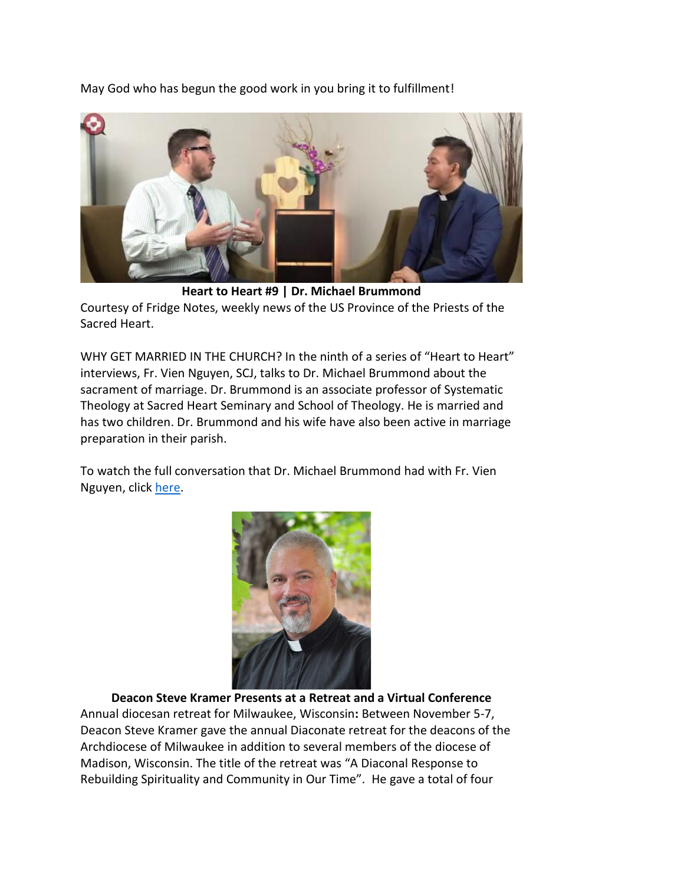May God who has begun the good work in you bring it to fulfillment!



**Heart to Heart #9 | Dr. Michael Brummond** Courtesy of Fridge Notes, weekly news of the US Province of the Priests of the Sacred Heart.

WHY GET MARRIED IN THE CHURCH? In the ninth of a series of "Heart to Heart" interviews, Fr. Vien Nguyen, SCJ, talks to Dr. Michael Brummond about the sacrament of marriage. Dr. Brummond is an associate professor of Systematic Theology at Sacred Heart Seminary and School of Theology. He is married and has two children. Dr. Brummond and his wife have also been active in marriage preparation in their parish.

To watch the full conversation that Dr. Michael Brummond had with Fr. Vien Nguyen, click [here.](https://www.youtube.com/watch?v=18UBH0g9gt4)



**Deacon Steve Kramer Presents at a Retreat and a Virtual Conference** Annual diocesan retreat for Milwaukee, Wisconsin**:** Between November 5-7, Deacon Steve Kramer gave the annual Diaconate retreat for the deacons of the Archdiocese of Milwaukee in addition to several members of the diocese of Madison, Wisconsin. The title of the retreat was "A Diaconal Response to Rebuilding Spirituality and Community in Our Time". He gave a total of four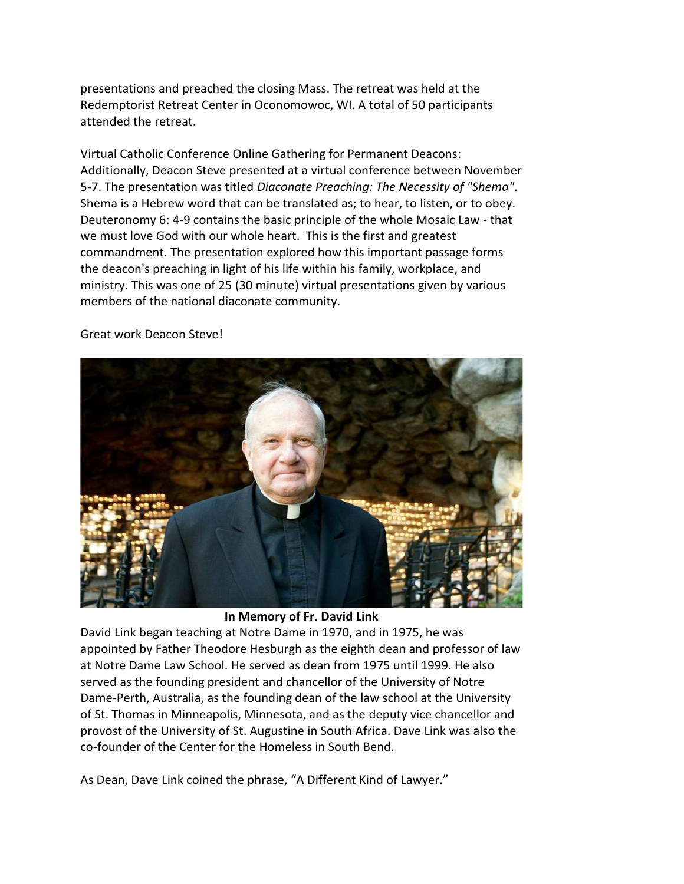presentations and preached the closing Mass. The retreat was held at the Redemptorist Retreat Center in Oconomowoc, WI. A total of 50 participants attended the retreat.

Virtual Catholic Conference Online Gathering for Permanent Deacons: Additionally, Deacon Steve presented at a virtual conference between November 5-7. The presentation was titled *Diaconate Preaching: The Necessity of "Shema"*. Shema is a Hebrew word that can be translated as; to hear, to listen, or to obey. Deuteronomy 6: 4-9 contains the basic principle of the whole Mosaic Law - that we must love God with our whole heart. This is the first and greatest commandment. The presentation explored how this important passage forms the deacon's preaching in light of his life within his family, workplace, and ministry. This was one of 25 (30 minute) virtual presentations given by various members of the national diaconate community.



Great work Deacon Steve!

**In Memory of Fr. David Link**

David Link began teaching at Notre Dame in 1970, and in 1975, he was appointed by Father Theodore Hesburgh as the eighth dean and professor of law at Notre Dame Law School. He served as dean from 1975 until 1999. He also served as the founding president and chancellor of the University of Notre Dame-Perth, Australia, as the founding dean of the law school at the University of St. Thomas in Minneapolis, Minnesota, and as the deputy vice chancellor and provost of the University of St. Augustine in South Africa. Dave Link was also the co-founder of the Center for the Homeless in South Bend.

As Dean, Dave Link coined the phrase, "A Different Kind of Lawyer."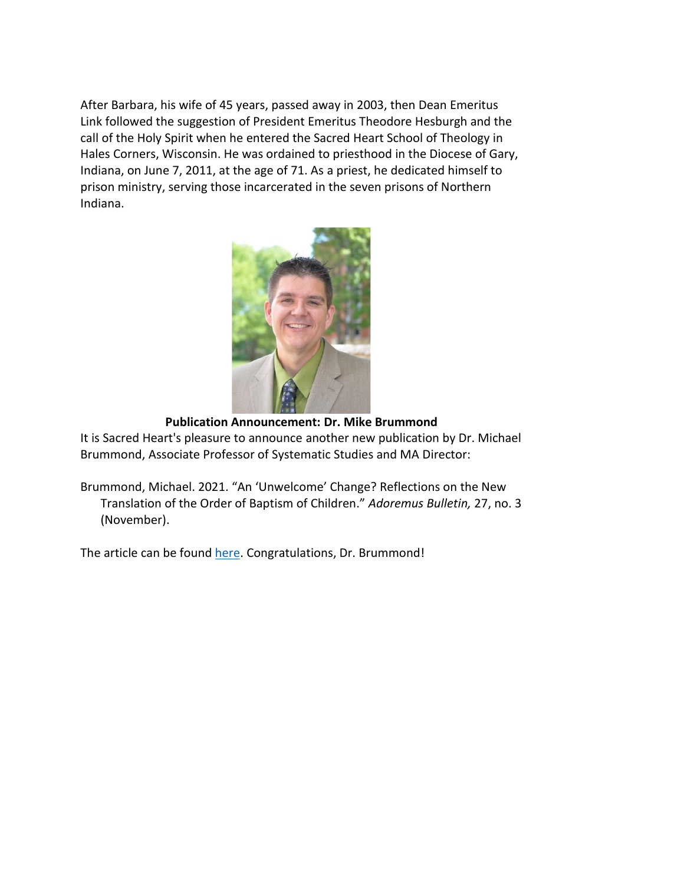After Barbara, his wife of 45 years, passed away in 2003, then Dean Emeritus Link followed the suggestion of President Emeritus Theodore Hesburgh and the call of the Holy Spirit when he entered the Sacred Heart School of Theology in Hales Corners, Wisconsin. He was ordained to priesthood in the Diocese of Gary, Indiana, on June 7, 2011, at the age of 71. As a priest, he dedicated himself to prison ministry, serving those incarcerated in the seven prisons of Northern Indiana.



**Publication Announcement: Dr. Mike Brummond**

It is Sacred Heart's pleasure to announce another new publication by Dr. Michael Brummond, Associate Professor of Systematic Studies and MA Director:

Brummond, Michael. 2021. "An 'Unwelcome' Change? Reflections on the New Translation of the Order of Baptism of Children." *Adoremus Bulletin,* 27, no. 3 (November).

The article can be found [here.](https://www.shsst.edu/wp-content/uploads/2021/11) Congratulations, Dr. Brummond!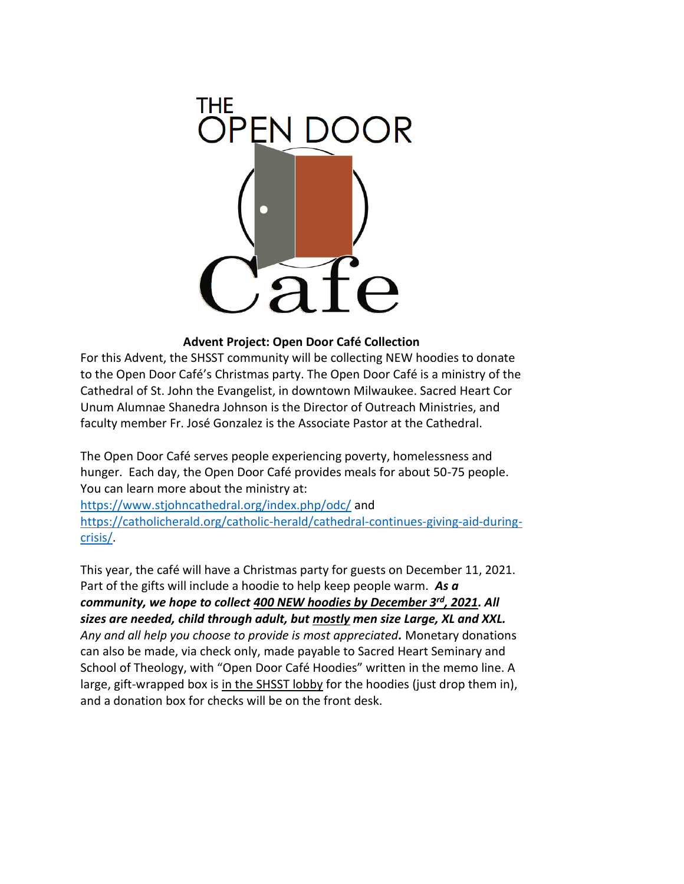

#### **Advent Project: Open Door Café Collection**

For this Advent, the SHSST community will be collecting NEW hoodies to donate to the Open Door Café's Christmas party. The Open Door Café is a ministry of the Cathedral of St. John the Evangelist, in downtown Milwaukee. Sacred Heart Cor Unum Alumnae Shanedra Johnson is the Director of Outreach Ministries, and faculty member Fr. José Gonzalez is the Associate Pastor at the Cathedral.

The Open Door Café serves people experiencing poverty, homelessness and hunger. Each day, the Open Door Café provides meals for about 50-75 people. You can learn more about the ministry at:

<https://www.stjohncathedral.org/index.php/odc/> and [https://catholicherald.org/catholic-herald/cathedral-continues-giving-aid-during](https://catholicherald.org/catholic-herald/cathedral-continues-giving-aid-during-crisis/)[crisis/.](https://catholicherald.org/catholic-herald/cathedral-continues-giving-aid-during-crisis/)

This year, the café will have a Christmas party for guests on December 11, 2021. Part of the gifts will include a hoodie to help keep people warm. *As a community, we hope to collect 400 NEW hoodies by December 3rd, 2021. All sizes are needed, child through adult, but mostly men size Large, XL and XXL. Any and all help you choose to provide is most appreciated.* Monetary donations can also be made, via check only, made payable to Sacred Heart Seminary and School of Theology, with "Open Door Café Hoodies" written in the memo line. A large, gift-wrapped box is in the SHSST lobby for the hoodies (just drop them in), and a donation box for checks will be on the front desk.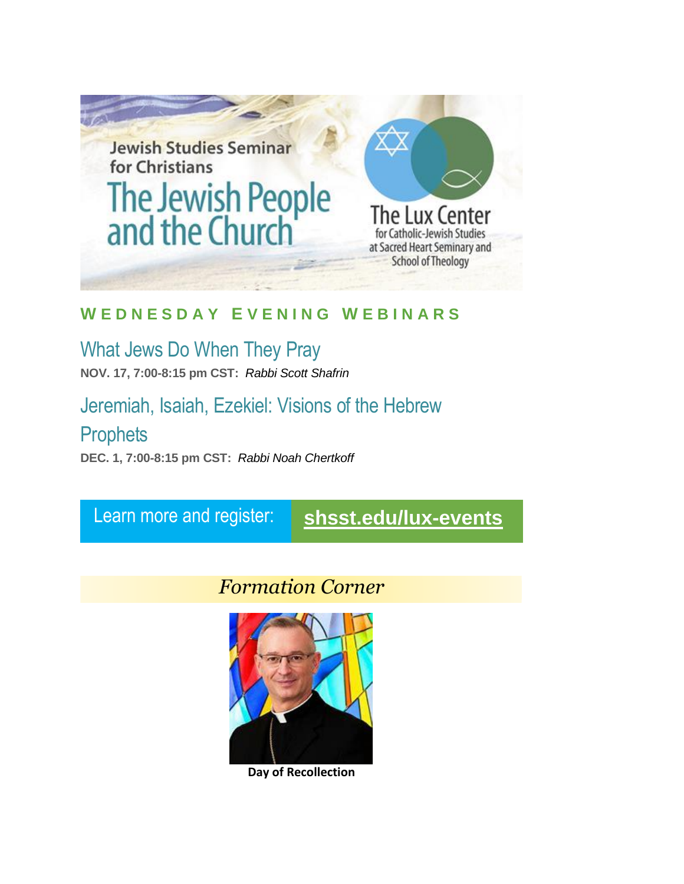

#### **W E D N E S D A Y E V E N I N G W E B I N A R S**

# What Jews Do When They Pray

**NOV. 17, 7:00-8:15 pm CST:** *Rabbi Scott Shafrin*

### Jeremiah, Isaiah, Ezekiel: Visions of the Hebrew

### **Prophets**

**DEC. 1, 7:00-8:15 pm CST:** *Rabbi Noah Chertkoff*

## Learn more and register: **[shsst.edu/lux-events](https://www.shsst.edu/lux-events/)**

## *Formation Corner*



**Day of Recollection**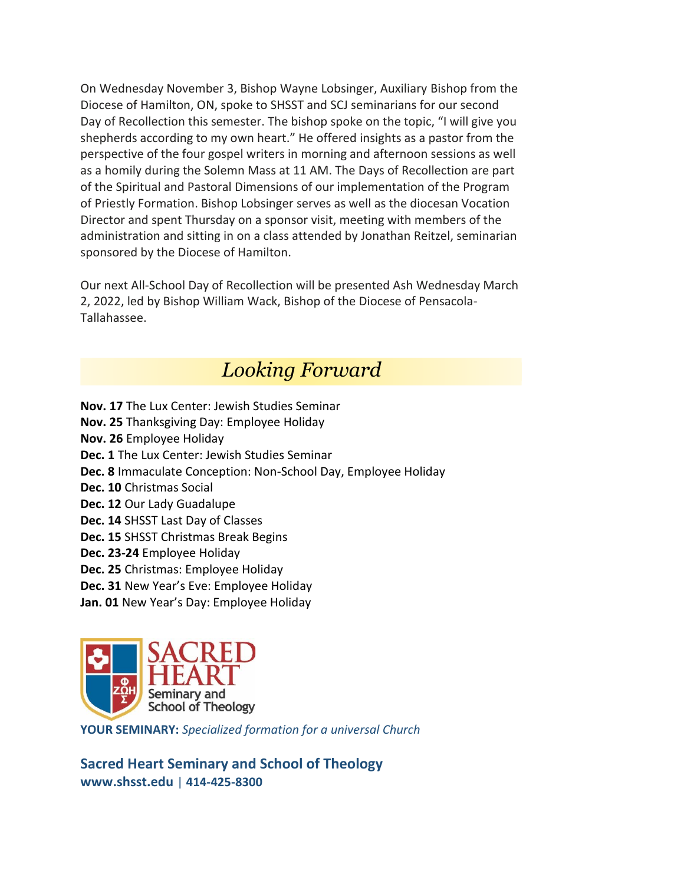On Wednesday November 3, Bishop Wayne Lobsinger, Auxiliary Bishop from the Diocese of Hamilton, ON, spoke to SHSST and SCJ seminarians for our second Day of Recollection this semester. The bishop spoke on the topic, "I will give you shepherds according to my own heart." He offered insights as a pastor from the perspective of the four gospel writers in morning and afternoon sessions as well as a homily during the Solemn Mass at 11 AM. The Days of Recollection are part of the Spiritual and Pastoral Dimensions of our implementation of the Program of Priestly Formation. Bishop Lobsinger serves as well as the diocesan Vocation Director and spent Thursday on a sponsor visit, meeting with members of the administration and sitting in on a class attended by Jonathan Reitzel, seminarian sponsored by the Diocese of Hamilton.

Our next All-School Day of Recollection will be presented Ash Wednesday March 2, 2022, led by Bishop William Wack, Bishop of the Diocese of Pensacola-Tallahassee.

### *Looking Forward*

- **Nov. 17** The Lux Center: Jewish Studies Seminar
- **Nov. 25** Thanksgiving Day: Employee Holiday
- **Nov. 26** Employee Holiday
- **Dec. 1** The Lux Center: Jewish Studies Seminar
- **Dec. 8** Immaculate Conception: Non-School Day, Employee Holiday
- **Dec. 10** Christmas Social
- **Dec. 12** Our Lady Guadalupe
- **Dec. 14** SHSST Last Day of Classes
- **Dec. 15** SHSST Christmas Break Begins
- **Dec. 23-24** Employee Holiday
- **Dec. 25** Christmas: Employee Holiday
- **Dec. 31** New Year's Eve: Employee Holiday
- **Jan. 01** New Year's Day: Employee Holiday



**YOUR SEMINARY:** *Specialized formation for a universal Church*

**Sacred Heart Seminary and School of Theology [www.shsst.edu](http://www.shsst.edu/)** | **414-425-8300**